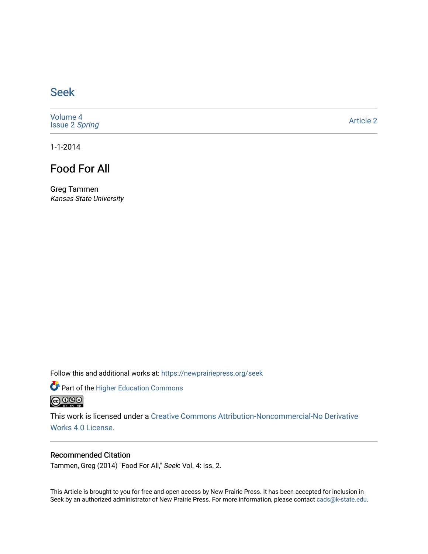## [Seek](https://newprairiepress.org/seek)

[Volume 4](https://newprairiepress.org/seek/vol4) [Issue 2](https://newprairiepress.org/seek/vol4/iss2) Spring

[Article 2](https://newprairiepress.org/seek/vol4/iss2/2) 

1-1-2014

# Food For All

Greg Tammen Kansas State University

Follow this and additional works at: [https://newprairiepress.org/seek](https://newprairiepress.org/seek?utm_source=newprairiepress.org%2Fseek%2Fvol4%2Fiss2%2F2&utm_medium=PDF&utm_campaign=PDFCoverPages)

Part of the [Higher Education Commons](http://network.bepress.com/hgg/discipline/1245?utm_source=newprairiepress.org%2Fseek%2Fvol4%2Fiss2%2F2&utm_medium=PDF&utm_campaign=PDFCoverPages) 



This work is licensed under a [Creative Commons Attribution-Noncommercial-No Derivative](https://creativecommons.org/licenses/by-nc-nd/4.0/)  [Works 4.0 License](https://creativecommons.org/licenses/by-nc-nd/4.0/).

## Recommended Citation

Tammen, Greg (2014) "Food For All," Seek: Vol. 4: Iss. 2.

This Article is brought to you for free and open access by New Prairie Press. It has been accepted for inclusion in Seek by an authorized administrator of New Prairie Press. For more information, please contact [cads@k-state.edu](mailto:cads@k-state.edu).